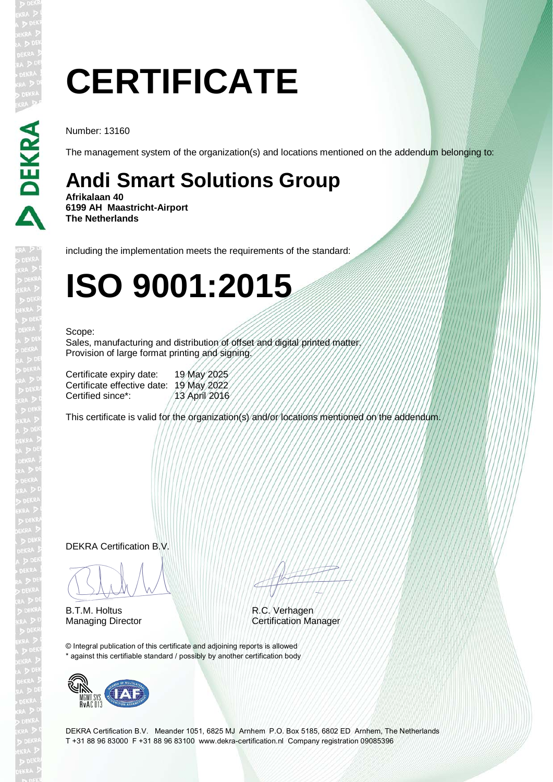# **CERTIFICATE**

Number: 13160

The management system of the organization(s) and locations mentioned on the addendum belonging to:

## **Andi Smart Solutions Group**

**Afrikalaan 40 6199 AH Maastricht-Airport The Netherlands**

including the implementation meets the requirements of the standard:

## **ISO 9001:2015**

#### Scope:

Sales, manufacturing and distribution of offset and digital printed matter. Provision of large format printing and signing.

Certificate expiry date: 19 May 2025 Certificate effective date: 19 May 2022 Certified since\*: / 13 April 2016

This certificate is valid for the organization(s) and/or locations mentioned on the addendum.

DEKRA Certification B.V.

BLAM

B.T.M. Holtus

ATTITUD A

R.C. Verhagen Managing Director Certification Manager

© Integral publication of this certificate and adjoining reports is allowed \* against this certifiable standard / possibly by another certification body



DEKRA Certification B.V. Meander 1051, 6825 MJ Arnhem P.O. Box 5185, 6802 ED Arnhem, The Netherlands T +31 88 96 83000 F +31 88 96 83100 www.dekra-certification.nl Company registration 09085396